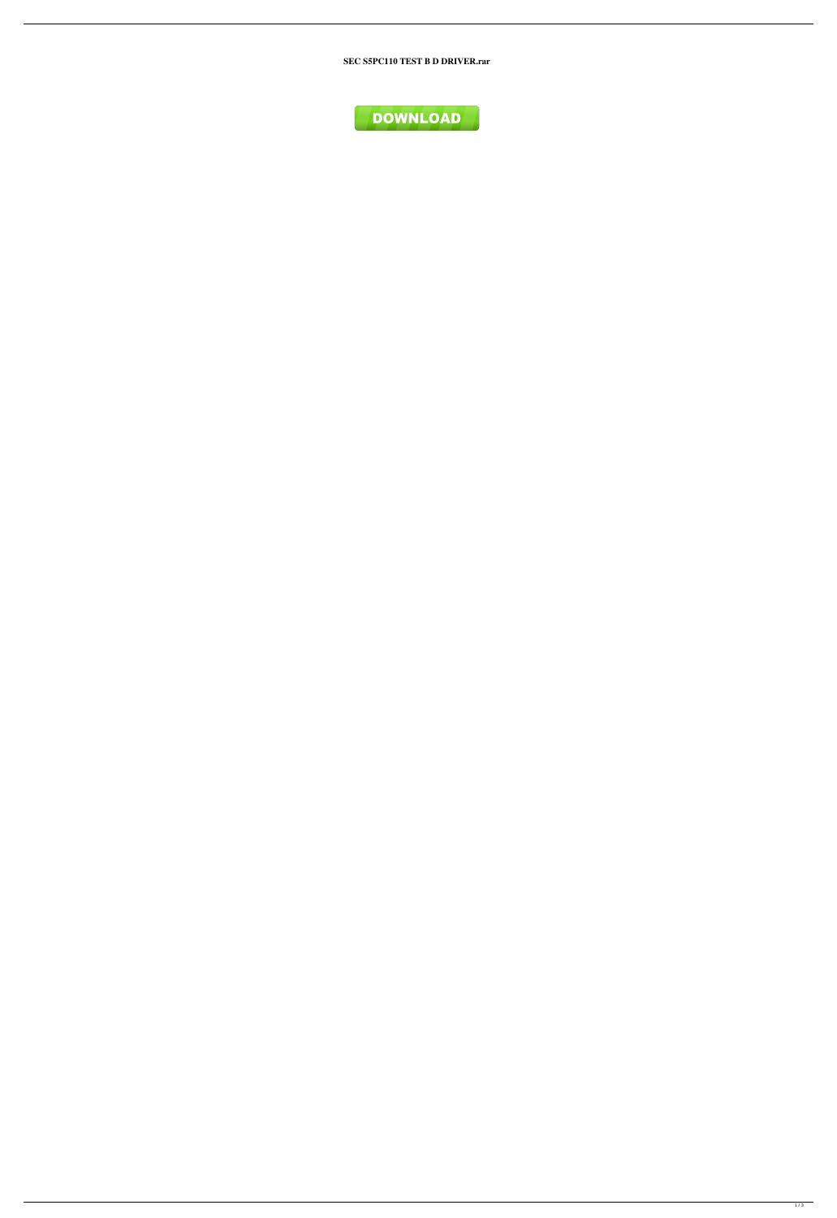SEC S5PC110 TEST B D DRIVER.rar

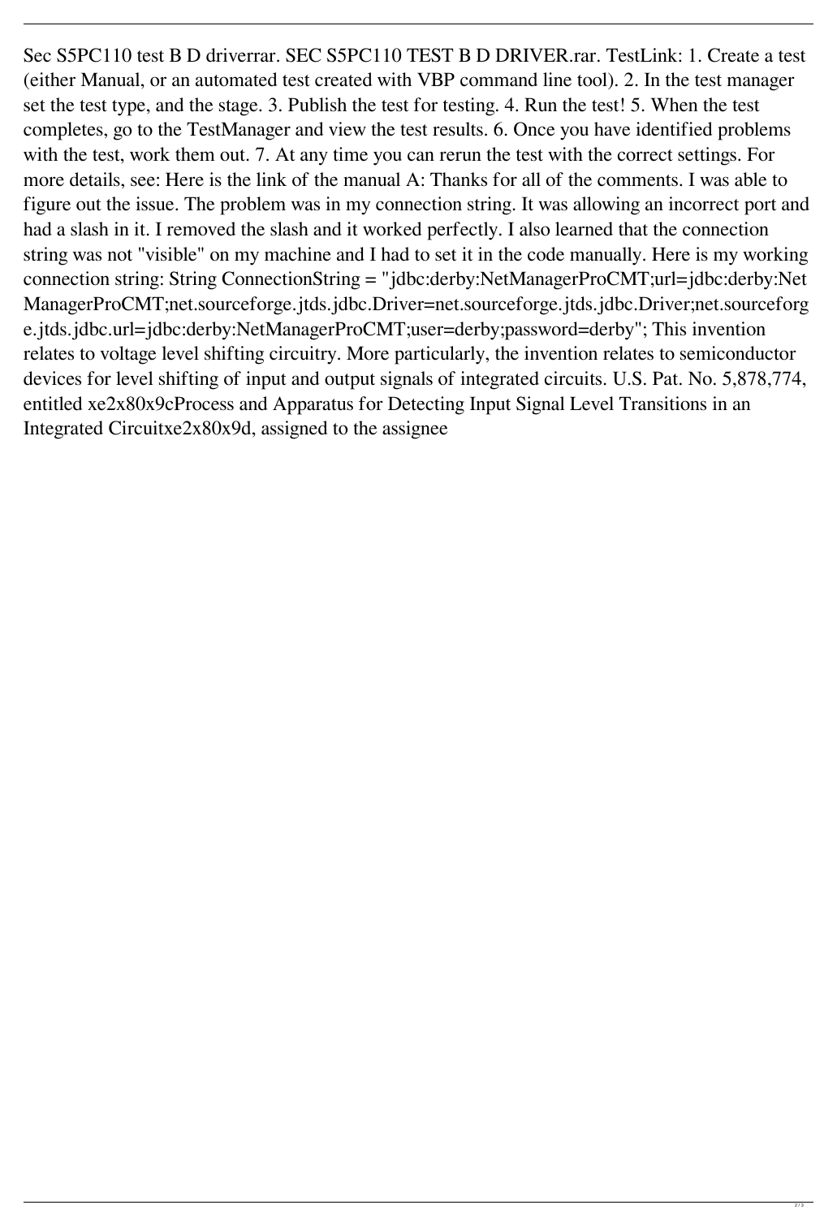Sec S5PC110 test B D driverrar. SEC S5PC110 TEST B D DRIVER.rar. TestLink: 1. Create a test (either Manual, or an automated test created with VBP command line tool). 2. In the test manager set the test type, and the stage. 3. Publish the test for testing. 4. Run the test! 5. When the test completes, go to the TestManager and view the test results. 6. Once you have identified problems with the test, work them out. 7. At any time you can rerun the test with the correct settings. For more details, see: Here is the link of the manual A: Thanks for all of the comments. I was able to figure out the issue. The problem was in my connection string. It was allowing an incorrect port and had a slash in it. I removed the slash and it worked perfectly. I also learned that the connection string was not "visible" on my machine and I had to set it in the code manually. Here is my working connection string: String ConnectionString = "jdbc:derby:NetManagerProCMT;url=jdbc:derby:Net ManagerProCMT;net.sourceforge.jtds.jdbc.Driver=net.sourceforge.jtds.jdbc.Driver;net.sourceforg e.jtds.jdbc.url=jdbc:derby:NetManagerProCMT;user=derby;password=derby"; This invention relates to voltage level shifting circuitry. More particularly, the invention relates to semiconductor devices for level shifting of input and output signals of integrated circuits. U.S. Pat. No. 5,878,774, entitled xe2x80x9cProcess and Apparatus for Detecting Input Signal Level Transitions in an Integrated Circuitxe2x80x9d, assigned to the assignee